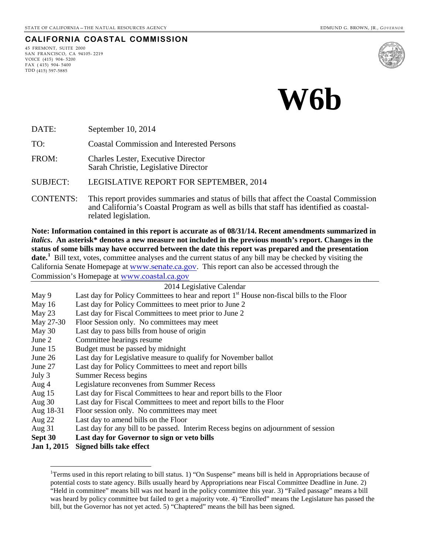#### **CALIFORNIA COASTAL COMMISSION**

45 FREMONT, SUITE 2000 SAN FRANCISCO, CA 94105- 2219 VOICE (415) 904- 5200  $FAX (415) 904 - 5400$ TDD (415) 597-5885





DATE: September 10, 2014

TO: Coastal Commission and Interested Persons

FROM: Charles Lester, Executive Director Sarah Christie, Legislative Director

SUBJECT: LEGISLATIVE REPORT FOR SEPTEMBER, 2014

CONTENTS: This report provides summaries and status of bills that affect the Coastal Commission and California's Coastal Program as well as bills that staff has identified as coastal- related legislation.

**Note: Information contained in this report is accurate as of 08/31/14. Recent amendments summarized in**  *italics***. An asterisk\* denotes a new measure not included in the previous month's report. Changes in the status of some bills may have occurred between the date this report was prepared and the presentation**  date.<sup>[1](#page-0-0)</sup> Bill text, votes, committee analyses and the current status of any bill may be checked by visiting the California Senate Homepage at [www.senate.ca.gov](http://www.senate.ca.gov/). This report can also be accessed through the Commission's Homepage at [www.coastal.ca.gov](http://www.coastal.ca.gov/)

|           | 2014 Legislative Calendar                                                                             |
|-----------|-------------------------------------------------------------------------------------------------------|
| May 9     | Last day for Policy Committees to hear and report 1 <sup>st</sup> House non-fiscal bills to the Floor |
| May $16$  | Last day for Policy Committees to meet prior to June 2                                                |
| May 23    | Last day for Fiscal Committees to meet prior to June 2                                                |
| May 27-30 | Floor Session only. No committees may meet                                                            |
| May 30    | Last day to pass bills from house of origin                                                           |
| June 2    | Committee hearings resume                                                                             |
| June 15   | Budget must be passed by midnight                                                                     |
| June 26   | Last day for Legislative measure to qualify for November ballot                                       |
| June 27   | Last day for Policy Committees to meet and report bills                                               |
| July 3    | Summer Recess begins                                                                                  |
| Aug 4     | Legislature reconvenes from Summer Recess                                                             |
| Aug $15$  | Last day for Fiscal Committees to hear and report bills to the Floor                                  |
| Aug $30$  | Last day for Fiscal Committees to meet and report bills to the Floor                                  |
| Aug 18-31 | Floor session only. No committees may meet                                                            |
| Aug $22$  | Last day to amend bills on the Floor                                                                  |
| Aug $31$  | Last day for any bill to be passed. Interim Recess begins on adjournment of session                   |

- **Sept 30 Last day for Governor to sign or veto bills**
- <span id="page-0-0"></span>**Jan 1, 2015 Signed bills take effect**

 $\overline{a}$ 

<sup>&</sup>lt;sup>1</sup>Terms used in this report relating to bill status. 1) "On Suspense" means bill is held in Appropriations because of potential costs to state agency. Bills usually heard by Appropriations near Fiscal Committee Deadline in June. 2) "Held in committee" means bill was not heard in the policy committee this year. 3) "Failed passage" means a bill was heard by policy committee but failed to get a majority vote. 4) "Enrolled" means the Legislature has passed the bill, but the Governor has not yet acted. 5) "Chaptered" means the bill has been signed.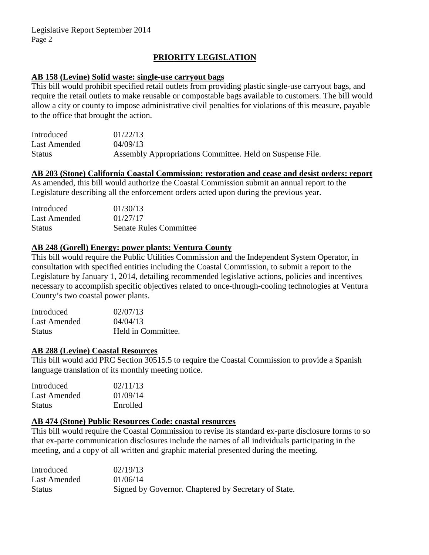# **PRIORITY LEGISLATION**

### **AB 158 (Levine) Solid waste: single-use carryout bags**

This bill would prohibit specified retail outlets from providing plastic single-use carryout bags, and require the retail outlets to make reusable or compostable bags available to customers. The bill would allow a city or county to impose administrative civil penalties for violations of this measure, payable to the office that brought the action.

| Introduced    | 01/22/13                                                  |
|---------------|-----------------------------------------------------------|
| Last Amended  | 04/09/13                                                  |
| <b>Status</b> | Assembly Appropriations Committee. Held on Suspense File. |

# **AB 203 (Stone) California Coastal Commission: restoration and cease and desist orders: report**

As amended, this bill would authorize the Coastal Commission submit an annual report to the Legislature describing all the enforcement orders acted upon during the previous year.

| Introduced    | 01/30/13                      |
|---------------|-------------------------------|
| Last Amended  | 01/27/17                      |
| <b>Status</b> | <b>Senate Rules Committee</b> |

# **AB 248 (Gorell) Energy: power plants: Ventura County**

This bill would require the Public Utilities Commission and the Independent System Operator, in consultation with specified entities including the Coastal Commission, to submit a report to the Legislature by January 1, 2014, detailing recommended legislative actions, policies and incentives necessary to accomplish specific objectives related to once-through-cooling technologies at Ventura County's two coastal power plants.

| Introduced    | 02/07/13           |
|---------------|--------------------|
| Last Amended  | 04/04/13           |
| <b>Status</b> | Held in Committee. |

#### **AB 288 (Levine) Coastal Resources**

This bill would add PRC Section 30515.5 to require the Coastal Commission to provide a Spanish language translation of its monthly meeting notice.

| Introduced    | 02/11/13 |
|---------------|----------|
| Last Amended  | 01/09/14 |
| <b>Status</b> | Enrolled |

# **AB 474 (Stone) Public Resources Code: coastal resources**

This bill would require the Coastal Commission to revise its standard ex-parte disclosure forms to so that ex-parte communication disclosures include the names of all individuals participating in the meeting, and a copy of all written and graphic material presented during the meeting.

| Introduced    | 02/19/13                                             |
|---------------|------------------------------------------------------|
| Last Amended  | 01/06/14                                             |
| <b>Status</b> | Signed by Governor. Chaptered by Secretary of State. |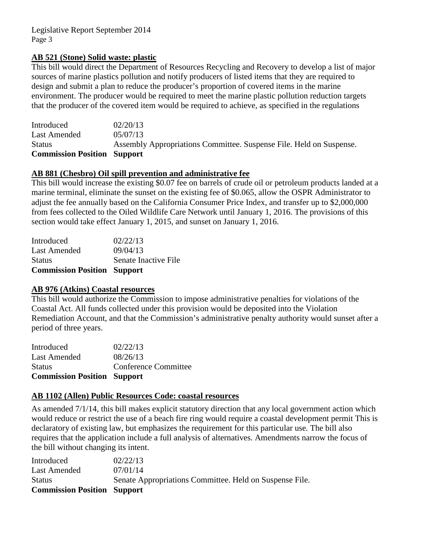### **AB 521 (Stone) Solid waste: plastic**

This bill would direct the Department of Resources Recycling and Recovery to develop a list of major sources of marine plastics pollution and notify producers of listed items that they are required to design and submit a plan to reduce the producer's proportion of covered items in the marine environment. The producer would be required to meet the marine plastic pollution reduction targets that the producer of the covered item would be required to achieve, as specified in the regulations

| <b>Commission Position Support</b> |                                                                     |
|------------------------------------|---------------------------------------------------------------------|
| <b>Status</b>                      | Assembly Appropriations Committee. Suspense File. Held on Suspense. |
| Last Amended                       | 05/07/13                                                            |
| Introduced                         | 02/20/13                                                            |

# **AB 881 (Chesbro) Oil spill prevention and administrative fee**

This bill would increase the existing \$0.07 fee on barrels of crude oil or petroleum products landed at a marine terminal, eliminate the sunset on the existing fee of \$0.065, allow the OSPR Administrator to adjust the fee annually based on the California Consumer Price Index, and transfer up to \$2,000,000 from fees collected to the Oiled Wildlife Care Network until January 1, 2016. The provisions of this section would take effect January 1, 2015, and sunset on January 1, 2016.

| <b>Commission Position Support</b> |                      |
|------------------------------------|----------------------|
| <b>Status</b>                      | Senate Inactive File |
| <b>Last Amended</b>                | 09/04/13             |
| Introduced                         | 02/22/13             |

#### **AB 976 (Atkins) Coastal resources**

This bill would authorize the Commission to impose administrative penalties for violations of the Coastal Act. All funds collected under this provision would be deposited into the Violation Remediation Account, and that the Commission's administrative penalty authority would sunset after a period of three years.

| Conference Committee |
|----------------------|
|                      |
|                      |
|                      |

## **AB 1102 (Allen) Public Resources Code: coastal resources**

As amended 7/1/14, this bill makes explicit statutory direction that any local government action which would reduce or restrict the use of a beach fire ring would require a coastal development permit This is declaratory of existing law, but emphasizes the requirement for this particular use*.* The bill also requires that the application include a full analysis of alternatives. Amendments narrow the focus of the bill without changing its intent.

| Introduced                         | 02/22/13                                                |
|------------------------------------|---------------------------------------------------------|
| Last Amended                       | 07/01/14                                                |
| <b>Status</b>                      | Senate Appropriations Committee. Held on Suspense File. |
| <b>Commission Position Support</b> |                                                         |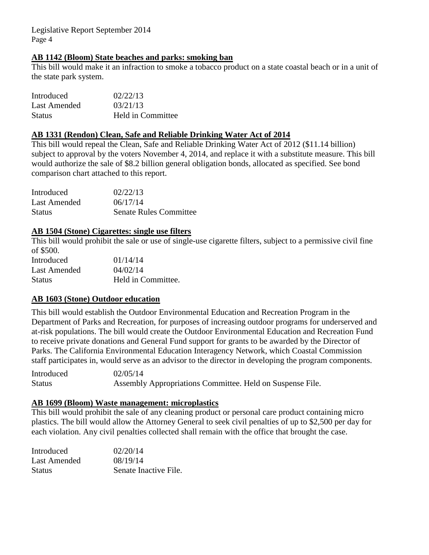### **AB 1142 (Bloom) State beaches and parks: smoking ban**

This bill would make it an infraction to smoke a tobacco product on a state coastal beach or in a unit of the state park system.

| Introduced    | 02/22/13          |
|---------------|-------------------|
| Last Amended  | 03/21/13          |
| <b>Status</b> | Held in Committee |

### **AB 1331 (Rendon) Clean, Safe and Reliable Drinking Water Act of 2014**

This bill would repeal the Clean, Safe and Reliable Drinking Water Act of 2012 (\$11.14 billion) subject to approval by the voters November 4, 2014, and replace it with a substitute measure. This bill would authorize the sale of \$8.2 billion general obligation bonds, allocated as specified. See bond comparison chart attached to this report.

| Introduced    | 02/22/13                      |
|---------------|-------------------------------|
| Last Amended  | 06/17/14                      |
| <b>Status</b> | <b>Senate Rules Committee</b> |

## **AB 1504 (Stone) Cigarettes: single use filters**

This bill would prohibit the sale or use of single-use cigarette filters, subject to a permissive civil fine of \$500.

| Introduced    | 01/14/14           |
|---------------|--------------------|
| Last Amended  | 04/02/14           |
| <b>Status</b> | Held in Committee. |

## **AB 1603 (Stone) Outdoor education**

This bill would establish the Outdoor Environmental Education and Recreation Program in the Department of Parks and Recreation, for purposes of increasing outdoor programs for underserved and at-risk populations. The bill would create the Outdoor Environmental Education and Recreation Fund to receive private donations and General Fund support for grants to be awarded by the Director of Parks. The California Environmental Education Interagency Network, which Coastal Commission staff participates in, would serve as an advisor to the director in developing the program components.

Introduced 02/05/14 Status Assembly Appropriations Committee. Held on Suspense File.

### **AB 1699 (Bloom) Waste management: microplastics**

This bill would prohibit the sale of any cleaning product or personal care product containing micro plastics. The bill would allow the Attorney General to seek civil penalties of up to \$2,500 per day for each violation. Any civil penalties collected shall remain with the office that brought the case.

| Introduced    | 02/20/14              |
|---------------|-----------------------|
| Last Amended  | 08/19/14              |
| <b>Status</b> | Senate Inactive File. |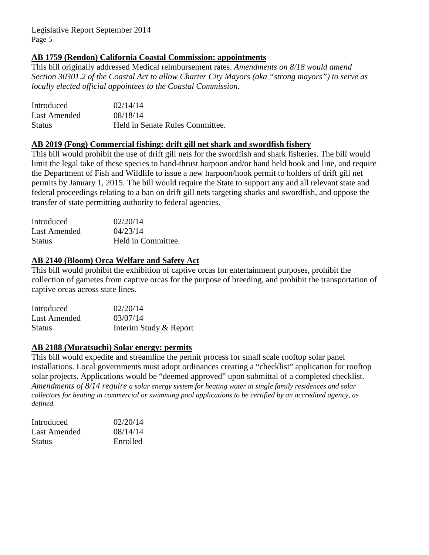## **AB 1759 (Rendon) California Coastal Commission: appointments**

This bill originally addressed Medical reimbursement rates. *Amendments on 8/18 would amend Section 30301.2 of the Coastal Act to allow Charter City Mayors (aka "strong mayors") to serve as locally elected official appointees to the Coastal Commission.*

| Introduced    | 02/14/14                        |
|---------------|---------------------------------|
| Last Amended  | 08/18/14                        |
| <b>Status</b> | Held in Senate Rules Committee. |

#### **AB 2019 (Fong) Commercial fishing: drift gill net shark and swordfish fishery**

This bill would prohibit the use of drift gill nets for the swordfish and shark fisheries. The bill would limit the legal take of these species to hand-thrust harpoon and/or hand held hook and line, and require the Department of Fish and Wildlife to issue a new harpoon/hook permit to holders of drift gill net permits by January 1, 2015. The bill would require the State to support any and all relevant state and federal proceedings relating to a ban on drift gill nets targeting sharks and swordfish, and oppose the transfer of state permitting authority to federal agencies.

| Introduced    | 02/20/14           |
|---------------|--------------------|
| Last Amended  | 04/23/14           |
| <b>Status</b> | Held in Committee. |

#### **AB 2140 (Bloom) Orca Welfare and Safety Act**

This bill would prohibit the exhibition of captive orcas for entertainment purposes, prohibit the collection of gametes from captive orcas for the purpose of breeding, and prohibit the transportation of captive orcas across state lines.

| Introduced    | 02/20/14               |
|---------------|------------------------|
| Last Amended  | 03/07/14               |
| <b>Status</b> | Interim Study & Report |

#### **AB 2188 (Muratsuchi) Solar energy: permits**

This bill would expedite and streamline the permit process for small scale rooftop solar panel installations. Local governments must adopt ordinances creating a "checklist" application for rooftop solar projects. Applications would be "deemed approved" upon submittal of a completed checklist. *Amendments of 8/14 require a solar energy system for heating water in single family residences and solar collectors for heating in commercial or swimming pool applications to be certified by an accredited agency, as defined.* 

| Introduced   | 02/20/14 |
|--------------|----------|
| Last Amended | 08/14/14 |
| Status       | Enrolled |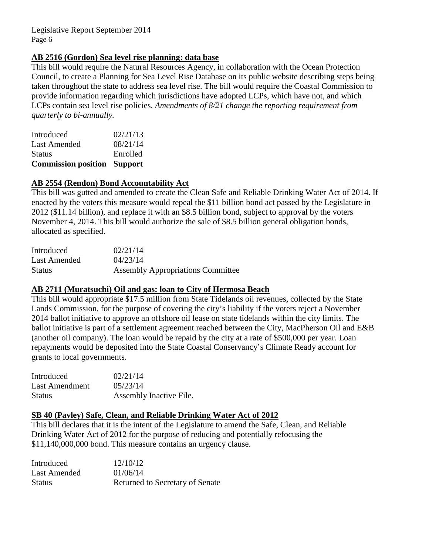## **AB 2516 (Gordon) Sea level rise planning: data base**

This bill would require the Natural Resources Agency, in collaboration with the Ocean Protection Council, to create a Planning for Sea Level Rise Database on its public website describing steps being taken throughout the state to address sea level rise. The bill would require the Coastal Commission to provide information regarding which jurisdictions have adopted LCPs, which have not, and which LCPs contain sea level rise policies. *Amendments of 8/21 change the reporting requirement from quarterly to bi-annually.*

| <b>Commission position Support</b> |          |
|------------------------------------|----------|
| <b>Status</b>                      | Enrolled |
| <b>Last Amended</b>                | 08/21/14 |
| Introduced                         | 02/21/13 |

## **AB 2554 (Rendon) Bond Accountability Act**

This bill was gutted and amended to create the Clean Safe and Reliable Drinking Water Act of 2014. If enacted by the voters this measure would repeal the \$11 billion bond act passed by the Legislature in 2012 (\$11.14 billion), and replace it with an \$8.5 billion bond, subject to approval by the voters November 4, 2014. This bill would authorize the sale of \$8.5 billion general obligation bonds, allocated as specified.

| Introduced    | 02/21/14                                 |
|---------------|------------------------------------------|
| Last Amended  | 04/23/14                                 |
| <b>Status</b> | <b>Assembly Appropriations Committee</b> |

## **AB 2711 (Muratsuchi) Oil and gas: loan to City of Hermosa Beach**

This bill would appropriate \$17.5 million from State Tidelands oil revenues, collected by the State Lands Commission, for the purpose of covering the city's liability if the voters reject a November 2014 ballot initiative to approve an offshore oil lease on state tidelands within the city limits. The ballot initiative is part of a settlement agreement reached between the City, MacPherson Oil and E&B (another oil company). The loan would be repaid by the city at a rate of \$500,000 per year. Loan repayments would be deposited into the State Coastal Conservancy's Climate Ready account for grants to local governments.

| Introduced            | 02/21/14                |
|-----------------------|-------------------------|
| <b>Last Amendment</b> | 05/23/14                |
| <b>Status</b>         | Assembly Inactive File. |

## **SB 40 (Pavley) Safe, Clean, and Reliable Drinking Water Act of 2012**

This bill declares that it is the intent of the Legislature to amend the Safe, Clean, and Reliable Drinking Water Act of 2012 for the purpose of reducing and potentially refocusing the \$11,140,000,000 bond. This measure contains an urgency clause.

| Introduced    | 12/10/12                        |
|---------------|---------------------------------|
| Last Amended  | 01/06/14                        |
| <b>Status</b> | Returned to Secretary of Senate |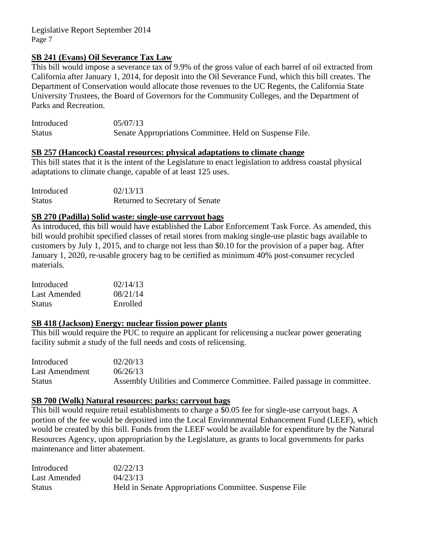## **SB 241 (Evans) Oil Severance Tax Law**

This bill would impose a severance tax of 9.9% of the gross value of each barrel of oil extracted from California after January 1, 2014, for deposit into the Oil Severance Fund, which this bill creates. The Department of Conservation would allocate those revenues to the UC Regents, the California State University Trustees, the Board of Governors for the Community Colleges, and the Department of Parks and Recreation.

| Introduced    | 05/07/13                                                |
|---------------|---------------------------------------------------------|
| <b>Status</b> | Senate Appropriations Committee. Held on Suspense File. |

### **SB 257 (Hancock) Coastal resources: physical adaptations to climate change**

This bill states that it is the intent of the Legislature to enact legislation to address coastal physical adaptations to climate change, capable of at least 125 uses.

Introduced 02/13/13 Status Returned to Secretary of Senate

### **SB 270 (Padilla) Solid waste: single-use carryout bags**

As introduced, this bill would have established the Labor Enforcement Task Force. As amended, this bill would prohibit specified classes of retail stores from making single-use plastic bags available to customers by July 1, 2015, and to charge not less than \$0.10 for the provision of a paper bag. After January 1, 2020, re-usable grocery bag to be certified as minimum 40% post-consumer recycled materials.

| Introduced    | 02/14/13 |
|---------------|----------|
| Last Amended  | 08/21/14 |
| <b>Status</b> | Enrolled |

### **SB 418 (Jackson) Energy: nuclear fission power plants**

This bill would require the PUC to require an applicant for relicensing a nuclear power generating facility submit a study of the full needs and costs of relicensing.

| Introduced            | 02/20/13                                                                |
|-----------------------|-------------------------------------------------------------------------|
| <b>Last Amendment</b> | 06/26/13                                                                |
| <b>Status</b>         | Assembly Utilities and Commerce Committee. Failed passage in committee. |

#### **SB 700 (Wolk) Natural resources: parks: carryout bags**

This bill would require retail establishments to charge a \$0.05 fee for single-use carryout bags. A portion of the fee would be deposited into the Local Environmental Enhancement Fund (LEEF), which would be created by this bill. Funds from the LEEF would be available for expenditure by the Natural Resources Agency, upon appropriation by the Legislature, as grants to local governments for parks maintenance and litter abatement.

| Introduced    | 02/22/13                                               |
|---------------|--------------------------------------------------------|
| Last Amended  | 04/23/13                                               |
| <b>Status</b> | Held in Senate Appropriations Committee. Suspense File |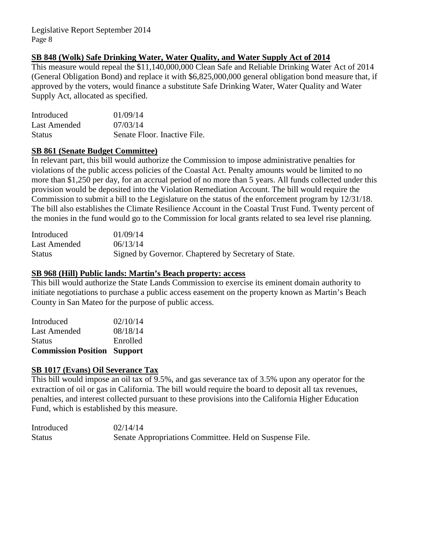## **SB 848 (Wolk) Safe Drinking Water, Water Quality, and Water Supply Act of 2014**

This measure would repeal the \$11,140,000,000 Clean Safe and Reliable Drinking Water Act of 2014 (General Obligation Bond) and replace it with \$6,825,000,000 general obligation bond measure that, if approved by the voters, would finance a substitute Safe Drinking Water, Water Quality and Water Supply Act, allocated as specified.

| Introduced    | 01/09/14                     |
|---------------|------------------------------|
| Last Amended  | 07/03/14                     |
| <b>Status</b> | Senate Floor. Inactive File. |

### **SB 861 (Senate Budget Committee)**

In relevant part, this bill would authorize the Commission to impose administrative penalties for violations of the public access policies of the Coastal Act. Penalty amounts would be limited to no more than \$1,250 per day, for an accrual period of no more than 5 years. All funds collected under this provision would be deposited into the Violation Remediation Account. The bill would require the Commission to submit a bill to the Legislature on the status of the enforcement program by 12/31/18. The bill also establishes the Climate Resilience Account in the Coastal Trust Fund. Twenty percent of the monies in the fund would go to the Commission for local grants related to sea level rise planning.

| Introduced    | 01/09/14                                             |
|---------------|------------------------------------------------------|
| Last Amended  | 06/13/14                                             |
| <b>Status</b> | Signed by Governor. Chaptered by Secretary of State. |

### **SB 968 (Hill) Public lands: Martin's Beach property: access**

This bill would authorize the State Lands Commission to exercise its eminent domain authority to initiate negotiations to purchase a public access easement on the property known as Martin's Beach County in San Mateo for the purpose of public access.

| <b>Commission Position Support</b> |
|------------------------------------|
| Enrolled                           |
| 08/18/14                           |
| 02/10/14                           |
|                                    |

## **SB 1017 (Evans) Oil Severance Tax**

This bill would impose an oil tax of 9.5%, and gas severance tax of 3.5% upon any operator for the extraction of oil or gas in California. The bill would require the board to deposit all tax revenues, penalties, and interest collected pursuant to these provisions into the California Higher Education Fund, which is established by this measure.

| Introduced    | 02/14/14                                                |
|---------------|---------------------------------------------------------|
| <b>Status</b> | Senate Appropriations Committee. Held on Suspense File. |